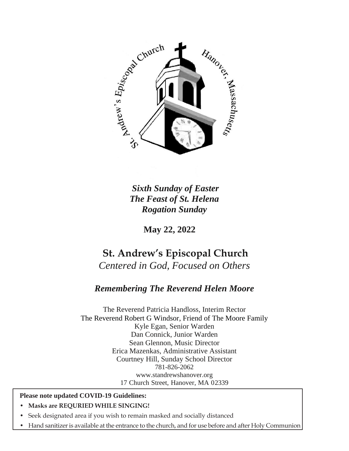

*Sixth Sunday of Easter The Feast of St. Helena Rogation Sunday*

**May 22, 2022**

# **St. Andrew's Episcopal Church**

*Centered in God, Focused on Others*

# *Remembering The Reverend Helen Moore*

The Reverend Patricia Handloss, Interim Rector The Reverend Robert G Windsor, Friend of The Moore Family Kyle Egan, Senior Warden Dan Connick, Junior Warden Sean Glennon, Music Director Erica Mazenkas, Administrative Assistant Courtney Hill, Sunday School Director 781-826-2062 [www.standrewshanover.org](http://www.standrewshanover.org/) 17 Church Street, Hanover, MA 02339

#### **Please note updated COVID-19 Guidelines:**

#### • **Masks are REQURIED WHILE SINGING!**

- Seek designated area if you wish to remain masked and socially distanced
- Hand sanitizer is available at the entrance to the church, and for use before and after Holy Communion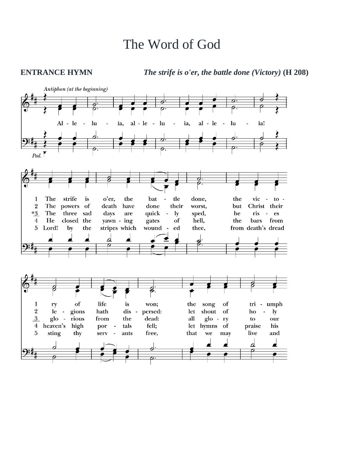# The Word of God

**ENTRANCE HYMN** *The strife is o'er, the battle done (Victory)* **(H 208)**

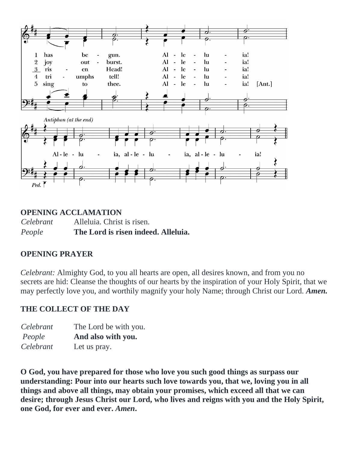

### **OPENING ACCLAMATION**

| Celebrant | Alleluia. Christ is risen.          |
|-----------|-------------------------------------|
| People    | The Lord is risen indeed. Alleluia. |

#### **OPENING PRAYER**

*Celebrant:* Almighty God, to you all hearts are open, all desires known, and from you no secrets are hid: Cleanse the thoughts of our hearts by the inspiration of your Holy Spirit, that we may perfectly love you, and worthily magnify your holy Name; through Christ our Lord. *Amen.*

#### **THE COLLECT OF THE DAY**

| Celebrant | The Lord be with you. |
|-----------|-----------------------|
| People    | And also with you.    |
| Celebrant | Let us pray.          |

**O God, you have prepared for those who love you such good things as surpass our understanding: Pour into our hearts such love towards you, that we, loving you in all things and above all things, may obtain your promises, which exceed all that we can desire; through Jesus Christ our Lord, who lives and reigns with you and the Holy Spirit, one God, for ever and ever.** *Amen***.**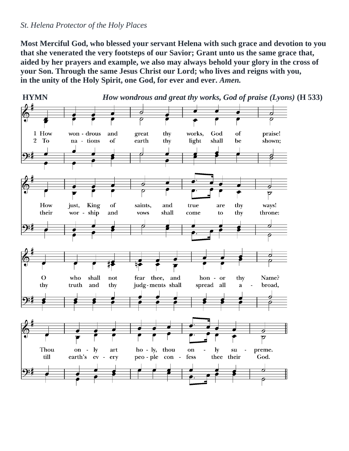#### *St. Helena Protector of the Holy Places*

**Most Merciful God, who blessed your servant Helena with such grace and devotion to you that she venerated the very footsteps of our Savior; Grant unto us the same grace that, aided by her prayers and example, we also may always behold your glory in the cross of your Son. Through the same Jesus Christ our Lord; who lives and reigns with you, in the unity of the Holy Spirit, one God, for ever and ever.** *Amen.* 

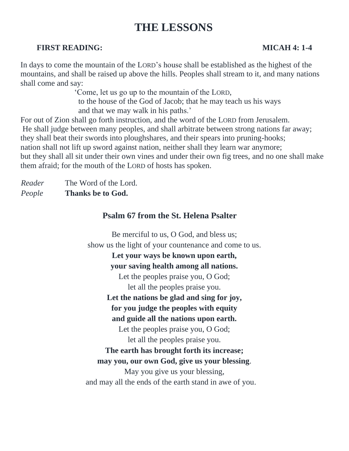# **THE LESSONS**

## **FIRST READING: MICAH 4: 1-4**

In days to come the mountain of the LORD's house shall be established as the highest of the mountains, and shall be raised up above the hills. Peoples shall stream to it, and many nations shall come and say:

 'Come, let us go up to the mountain of the LORD, to the house of the God of Jacob; that he may teach us his ways and that we may walk in his paths.'

For out of Zion shall go forth instruction, and the word of the LORD from Jerusalem. He shall judge between many peoples, and shall arbitrate between strong nations far away; they shall beat their swords into ploughshares, and their spears into pruning-hooks; nation shall not lift up sword against nation, neither shall they learn war anymore; but they shall all sit under their own vines and under their own fig trees, and no one shall make them afraid; for the mouth of the LORD of hosts has spoken.

| Reader | The Word of the Lord.    |
|--------|--------------------------|
| People | <b>Thanks be to God.</b> |

# **Psalm 67 from the St. Helena Psalter**

Be merciful to us, O God, and bless us; show us the light of your countenance and come to us. **Let your ways be known upon earth, your saving health among all nations.** Let the peoples praise you, O God; let all the peoples praise you. **Let the nations be glad and sing for joy, for you judge the peoples with equity and guide all the nations upon earth.** Let the peoples praise you, O God; let all the peoples praise you. **The earth has brought forth its increase; may you, our own God, give us your blessing**. May you give us your blessing, and may all the ends of the earth stand in awe of you.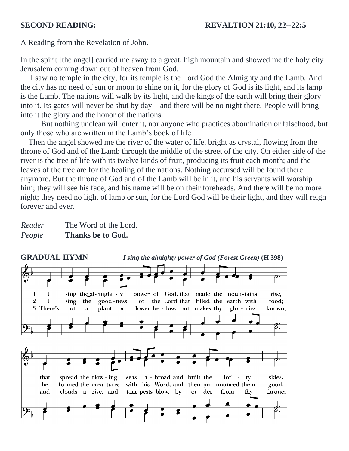A Reading from the Revelation of John.

In the spirit [the angel] carried me away to a great, high mountain and showed me the holy city Jerusalem coming down out of heaven from God.

I saw no temple in the city, for its temple is the Lord God the Almighty and the Lamb. And the city has no need of sun or moon to shine on it, for the glory of God is its light, and its lamp is the Lamb. The nations will walk by its light, and the kings of the earth will bring their glory into it. Its gates will never be shut by day—and there will be no night there. People will bring into it the glory and the honor of the nations.

But nothing unclean will enter it, nor anyone who practices abomination or falsehood, but only those who are written in the Lamb's book of life.

Then the angel showed me the river of the water of life, bright as crystal, flowing from the throne of God and of the Lamb through the middle of the street of the city. On either side of the river is the tree of life with its twelve kinds of fruit, producing its fruit each month; and the leaves of the tree are for the healing of the nations. Nothing accursed will be found there anymore. But the throne of God and of the Lamb will be in it, and his servants will worship him; they will see his face, and his name will be on their foreheads. And there will be no more night; they need no light of lamp or sun, for the Lord God will be their light, and they will reign forever and ever.

*Reader* The Word of the Lord. *People* **Thanks be to God.**

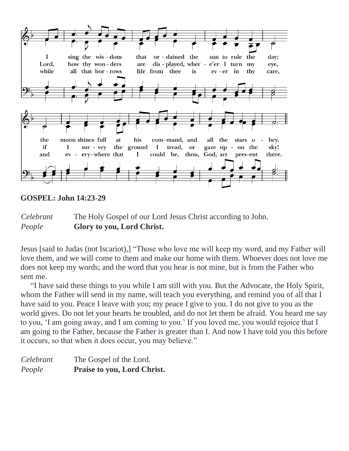

**GOSPEL: John 14:23-29**

*Celebrant* The Holy Gospel of our Lord Jesus Christ according to John. *People* **Glory to you, Lord Christ.**

Jesus [said to Judas (not Iscariot),] "Those who love me will keep my word, and my Father will love them, and we will come to them and make our home with them. Whoever does not love me does not keep my words; and the word that you hear is not mine, but is from the Father who sent me.

"I have said these things to you while I am still with you. But the Advocate, the Holy Spirit, whom the Father will send in my name, will teach you everything, and remind you of all that I have said to you. Peace I leave with you; my peace I give to you. I do not give to you as the world gives. Do not let your hearts be troubled, and do not let them be afraid. You heard me say to you, 'I am going away, and I am coming to you.' If you loved me, you would rejoice that I am going to the Father, because the Father is greater than I. And now I have told you this before it occurs, so that when it does occur, you may believe."

| Celebrant | The Gospel of the Lord.     |
|-----------|-----------------------------|
| People    | Praise to you, Lord Christ. |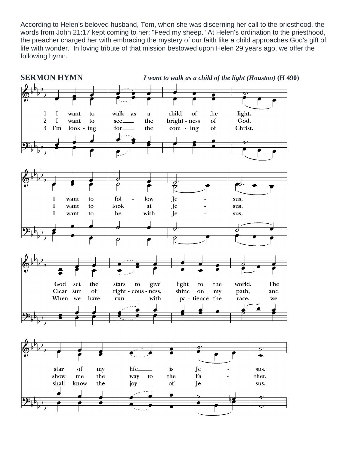*According to Helen's beloved husband, Tom, when she was discerning her call to the priesthood, the words from John 21:17 kept coming to her: "Feed my sheep." At Helen's ordination to the priesthood, the preacher charged her with embracing the mystery of our faith like a child approaches God's gift of life with wonder. In loving tribute of that mission bestowed upon Helen 29 years ago, we offer the following hymn.*

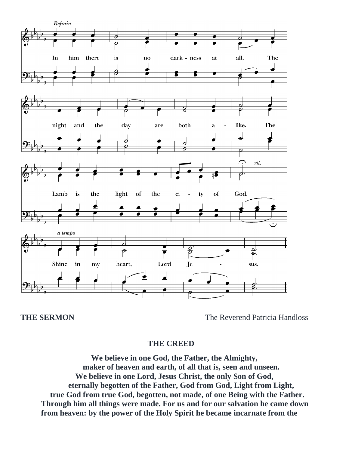

**THE SERMON** The Reverend Patricia Handloss

#### **THE CREED**

**We believe in one God, the Father, the Almighty, maker of heaven and earth, of all that is, seen and unseen. We believe in one Lord, Jesus Christ, the only Son of God, eternally begotten of the Father, God from God, Light from Light, true God from true God, begotten, not made, of one Being with the Father. Through him all things were made. For us and for our salvation he came down from heaven: by the power of the Holy Spirit he became incarnate from the**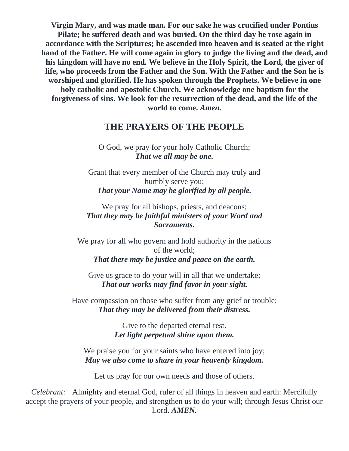**Virgin Mary, and was made man. For our sake he was crucified under Pontius Pilate; he suffered death and was buried. On the third day he rose again in accordance with the Scriptures; he ascended into heaven and is seated at the right hand of the Father. He will come again in glory to judge the living and the dead, and his kingdom will have no end. We believe in the Holy Spirit, the Lord, the giver of life, who proceeds from the Father and the Son. With the Father and the Son he is worshiped and glorified. He has spoken through the Prophets. We believe in one holy catholic and apostolic Church. We acknowledge one baptism for the forgiveness of sins. We look for the resurrection of the dead, and the life of the world to come.** *Amen.*

#### **THE PRAYERS OF THE PEOPLE**

O God, we pray for your holy Catholic Church; *That we all may be one.*

Grant that every member of the Church may truly and humbly serve you; *That your Name may be glorified by all people.*

We pray for all bishops, priests, and deacons; *That they may be faithful ministers of your Word and Sacraments.*

We pray for all who govern and hold authority in the nations of the world; *That there may be justice and peace on the earth.*

Give us grace to do your will in all that we undertake; *That our works may find favor in your sight.*

Have compassion on those who suffer from any grief or trouble; *That they may be delivered from their distress.*

> Give to the departed eternal rest. *Let light perpetual shine upon them.*

We praise you for your saints who have entered into joy; *May we also come to share in your heavenly kingdom.*

Let us pray for our own needs and those of others.

*Celebrant:* Almighty and eternal God, ruler of all things in heaven and earth: Mercifully accept the prayers of your people, and strengthen us to do your will; through Jesus Christ our Lord. *AMEN.*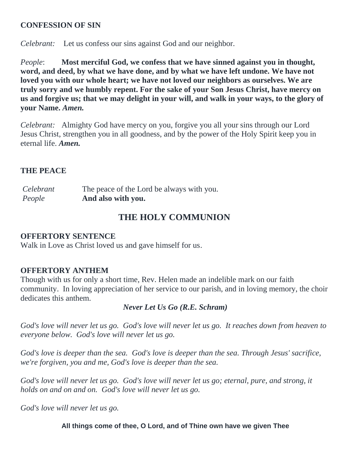#### **CONFESSION OF SIN**

*Celebrant:* Let us confess our sins against God and our neighbor.

*People*: **Most merciful God, we confess that we have sinned against you in thought, word, and deed, by what we have done, and by what we have left undone. We have not loved you with our whole heart; we have not loved our neighbors as ourselves. We are truly sorry and we humbly repent. For the sake of your Son Jesus Christ, have mercy on us and forgive us; that we may delight in your will, and walk in your ways, to the glory of your Name.** *Amen.*

*Celebrant:* Almighty God have mercy on you, forgive you all your sins through our Lord Jesus Christ, strengthen you in all goodness, and by the power of the Holy Spirit keep you in eternal life. *Amen.*

#### **THE PEACE**

| Celebrant | The peace of the Lord be always with you. |
|-----------|-------------------------------------------|
| People    | And also with you.                        |

# **THE HOLY COMMUNION**

#### **OFFERTORY SENTENCE**

Walk in Love as Christ loved us and gave himself for us.

#### **OFFERTORY ANTHEM**

Though with us for only a short time, Rev. Helen made an indelible mark on our faith community. In loving appreciation of her service to our parish, and in loving memory, the choir dedicates this anthem.

#### *Never Let Us Go (R.E. Schram)*

*God's love will never let us go. God's love will never let us go. It reaches down from heaven to everyone below. God's love will never let us go.* 

*God's love is deeper than the sea. God's love is deeper than the sea. Through Jesus' sacrifice, we're forgiven, you and me, God's love is deeper than the sea.*

*God's love will never let us go. God's love will never let us go; eternal, pure, and strong, it holds on and on and on. God's love will never let us go.*

*God's love will never let us go.*

**All things come of thee, O Lord, and of Thine own have we given Thee**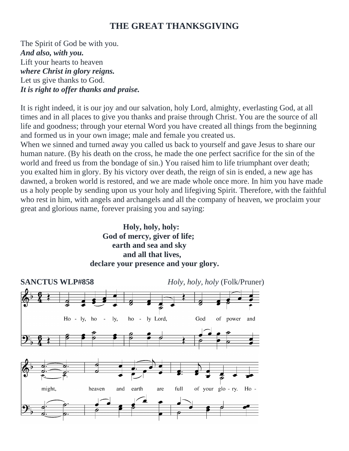# **THE GREAT THANKSGIVING**

The Spirit of God be with you. *And also, with you.* Lift your hearts to heaven *where Christ in glory reigns.* Let us give thanks to God. *It is right to offer thanks and praise.*

It is right indeed, it is our joy and our salvation, holy Lord, almighty, everlasting God, at all times and in all places to give you thanks and praise through Christ. You are the source of all life and goodness; through your eternal Word you have created all things from the beginning and formed us in your own image; male and female you created us.

When we sinned and turned away you called us back to yourself and gave Jesus to share our human nature. (By his death on the cross, he made the one perfect sacrifice for the sin of the world and freed us from the bondage of sin.) You raised him to life triumphant over death; you exalted him in glory. By his victory over death, the reign of sin is ended, a new age has dawned, a broken world is restored, and we are made whole once more. In him you have made us a holy people by sending upon us your holy and lifegiving Spirit. Therefore, with the faithful who rest in him, with angels and archangels and all the company of heaven, we proclaim your great and glorious name, forever praising you and saying:

> **Holy, holy, holy: God of mercy, giver of life; earth and sea and sky**

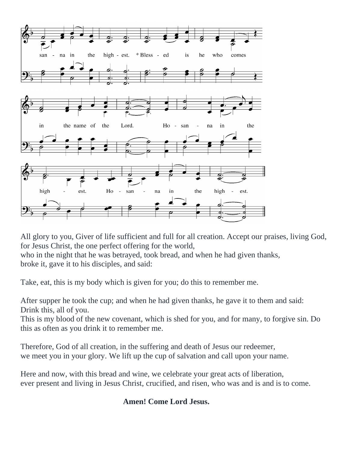

All glory to you, Giver of life sufficient and full for all creation. Accept our praises, living God, for Jesus Christ, the one perfect offering for the world,

who in the night that he was betrayed, took bread, and when he had given thanks, broke it, gave it to his disciples, and said:

Take, eat, this is my body which is given for you; do this to remember me.

After supper he took the cup; and when he had given thanks, he gave it to them and said: Drink this, all of you.

This is my blood of the new covenant, which is shed for you, and for many, to forgive sin. Do this as often as you drink it to remember me.

Therefore, God of all creation, in the suffering and death of Jesus our redeemer, we meet you in your glory. We lift up the cup of salvation and call upon your name.

Here and now, with this bread and wine, we celebrate your great acts of liberation, ever present and living in Jesus Christ, crucified, and risen, who was and is and is to come.

# **Amen! Come Lord Jesus.**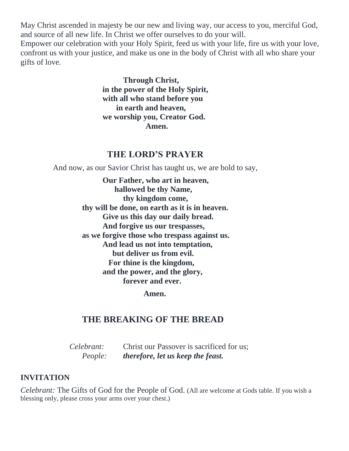May Christ ascended in majesty be our new and living way, our access to you, merciful God, and source of all new life. In Christ we offer ourselves to do your will.

Empower our celebration with your Holy Spirit, feed us with your life, fire us with your love, confront us with your justice, and make us one in the body of Christ with all who share your gifts of love.

> **Through Christ, in the power of the Holy Spirit, with all who stand before you in earth and heaven, we worship you, Creator God. Amen.**

## **THE LORD'S PRAYER**

And now, as our Savior Christ has taught us, we are bold to say,

**Our Father, who art in heaven, hallowed be thy Name, thy kingdom come, thy will be done, on earth as it is in heaven. Give us this day our daily bread. And forgive us our trespasses, as we forgive those who trespass against us. And lead us not into temptation, but deliver us from evil. For thine is the kingdom, and the power, and the glory, forever and ever.**

**Amen.**

# **THE BREAKING OF THE BREAD**

*Celebrant:* Christ our Passover is sacrificed for us; *People: therefore, let us keep the feast.*

#### **INVITATION**

*Celebrant:* The Gifts of God for the People of God. (All are welcome at Gods table. If you wish a blessing only, please cross your arms over your chest.)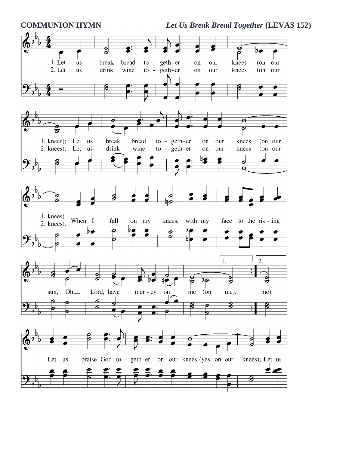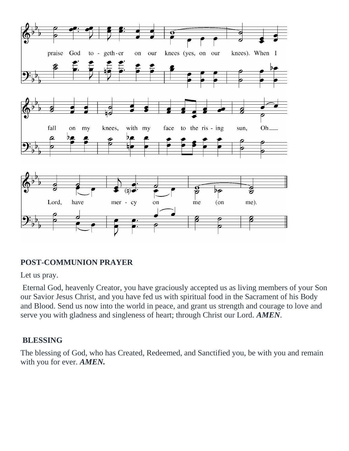

### **POST-COMMUNION PRAYER**

Let us pray.

Eternal God, heavenly Creator, you have graciously accepted us as living members of your Son our Savior Jesus Christ, and you have fed us with spiritual food in the Sacrament of his Body and Blood. Send us now into the world in peace, and grant us strength and courage to love and serve you with gladness and singleness of heart; through Christ our Lord. *AMEN*.

### **BLESSING**

The blessing of God, who has Created, Redeemed, and Sanctified you, be with you and remain with you for ever. *AMEN.*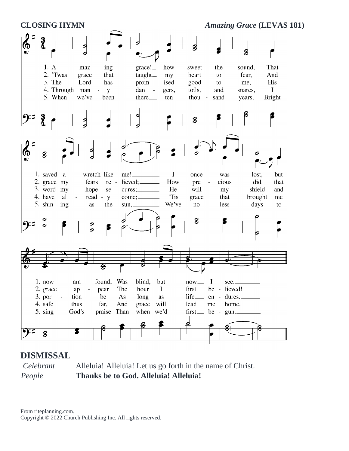

# **DISMISSAL**

*Celebrant* Alleluia! Alleluia! Let us go forth in the name of Christ. *People* **Thanks be to God. Alleluia! Alleluia!**

From riteplanning.com. Copyright © 2022 Church Publishing Inc. All rights reserved.